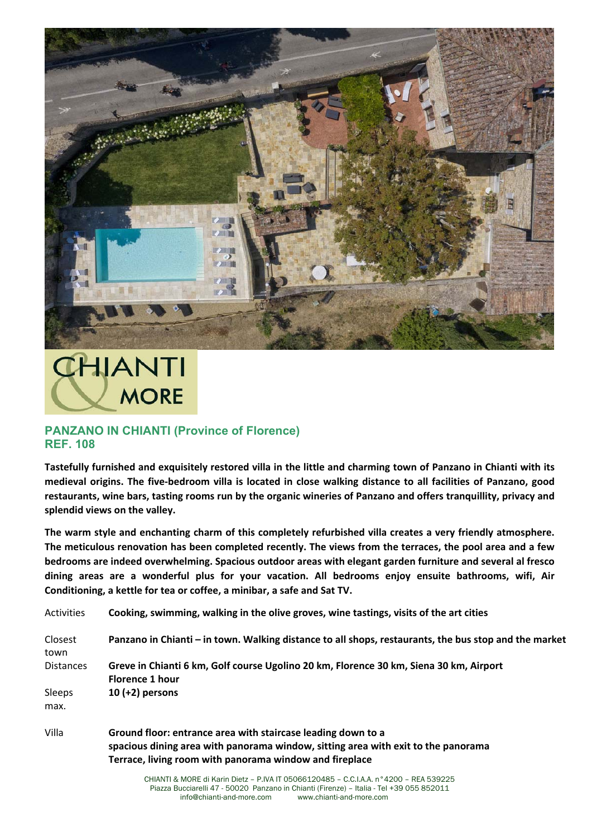

## **CHIANTI MORE**

## **PANZANO IN CHIANTI (Province of Florence) REF. 108**

**Tastefully furnished and exquisitely restored villa in the little and charming town of Panzano in Chianti with its medieval origins. The five‐bedroom villa is located in close walking distance to all facilities of Panzano, good restaurants, wine bars, tasting rooms run by the organic wineries of Panzano and offers tranquillity, privacy and splendid views on the valley.** 

**The warm style and enchanting charm of this completely refurbished villa creates a very friendly atmosphere. The meticulous renovation has been completed recently. The views from the terraces, the pool area and a few bedrooms are indeed overwhelming. Spacious outdoor areas with elegant garden furniture and several al fresco dining areas are a wonderful plus for your vacation. All bedrooms enjoy ensuite bathrooms, wifi, Air Conditioning, a kettle for tea or coffee, a minibar, a safe and Sat TV.** 

| <b>Activities</b> | Cooking, swimming, walking in the olive groves, wine tastings, visits of the art cities               |
|-------------------|-------------------------------------------------------------------------------------------------------|
| Closest<br>town   | Panzano in Chianti – in town. Walking distance to all shops, restaurants, the bus stop and the market |
| Distances         | Greve in Chianti 6 km, Golf course Ugolino 20 km, Florence 30 km, Siena 30 km, Airport                |
|                   | <b>Florence 1 hour</b>                                                                                |
| Sleeps            | 10 $(+2)$ persons                                                                                     |
| max.              |                                                                                                       |
| Villa             | Ground floor: entrance area with staircase leading down to a                                          |
|                   | spacious dining area with panorama window, sitting area with exit to the panorama                     |

CHIANTI & MORE di Karin Dietz – P.IVA IT 05066120485 – C.C.I.A.A. n°4200 – REA 539225 **Terrace, living room with panorama window and fireplace**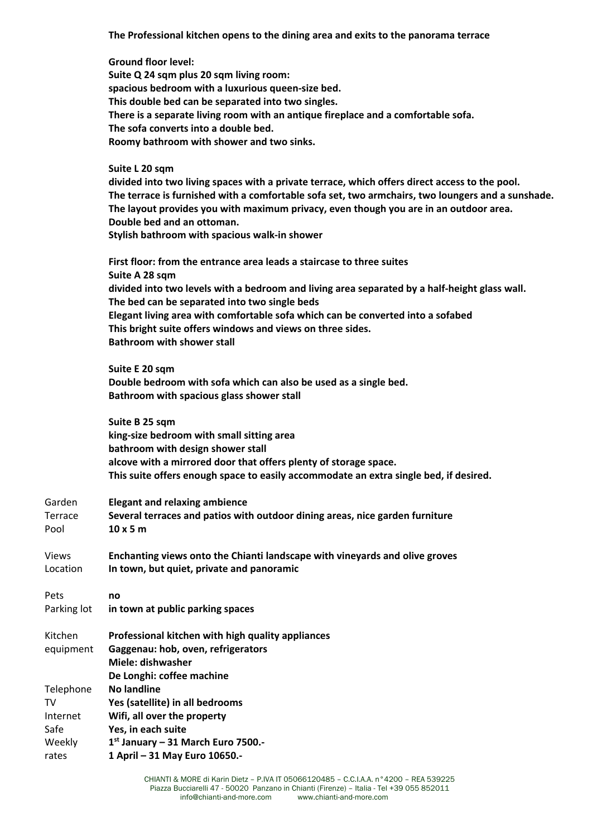**The Professional kitchen opens to the dining area and exits to the panorama terrace** 

**Ground floor level: Suite Q 24 sqm plus 20 sqm living room: spacious bedroom with a luxurious queen‐size bed. This double bed can be separated into two singles. There is a separate living room with an antique fireplace and a comfortable sofa. The sofa converts into a double bed. Roomy bathroom with shower and two sinks. Suite L 20 sqm divided into two living spaces with a private terrace, which offers direct access to the pool. The terrace is furnished with a comfortable sofa set, two armchairs, two loungers and a sunshade. The layout provides you with maximum privacy, even though you are in an outdoor area. Double bed and an ottoman. Stylish bathroom with spacious walk‐in shower First floor: from the entrance area leads a staircase to three suites Suite A 28 sqm divided into two levels with a bedroom and living area separated by a half‐height glass wall. The bed can be separated into two single beds Elegant living area with comfortable sofa which can be converted into a sofabed This bright suite offers windows and views on three sides. Bathroom with shower stall Suite E 20 sqm Double bedroom with sofa which can also be used as a single bed. Bathroom with spacious glass shower stall Suite B 25 sqm king‐size bedroom with small sitting area bathroom with design shower stall alcove with a mirrored door that offers plenty of storage space. This suite offers enough space to easily accommodate an extra single bed, if desired.**  Garden **Elegant and relaxing ambience** Terrace **Several terraces and patios with outdoor dining areas, nice garden furniture** Pool **10 x 5 m**  Views **Enchanting views onto the Chianti landscape with vineyards and olive groves** Location **In town, but quiet, private and panoramic**  Pets **no**  Parking lot **in town at public parking spaces**  Kitchen equipment **Professional kitchen with high quality appliances Gaggenau: hob, oven, refrigerators Miele: dishwasher De Longhi: coffee machine**  Telephone **No landline** TV **Yes (satellite) in all bedrooms** Internet **Wifi, all over the property Yes, in each suite**  Weekly **1st January – 31 March Euro 7500.‐** 

**1 April – 31 May Euro 10650.‐** 

Safe

rates